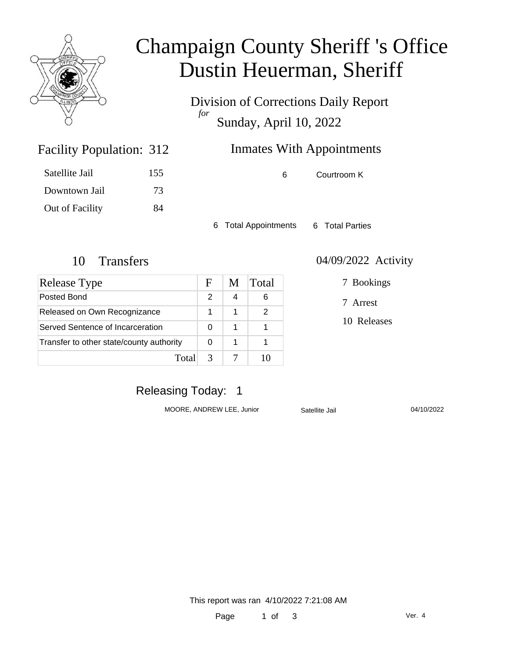

## Champaign County Sheriff 's Office Dustin Heuerman, Sheriff

Division of Corrections Daily Report *for* Sunday, April 10, 2022

### Inmates With Appointments

Satellite Jail 155 Downtown Jail 73 Out of Facility 84

Facility Population: 312

6 Courtroom K

6 Total Appointments 6 Total Parties

| Release Type                             | F | M | <b>Total</b> |
|------------------------------------------|---|---|--------------|
| Posted Bond                              | 2 |   |              |
| Released on Own Recognizance             |   |   |              |
| Served Sentence of Incarceration         | 0 | 1 |              |
| Transfer to other state/county authority |   | 1 |              |
| Total                                    |   |   |              |

#### 10 Transfers 04/09/2022 Activity

7 Bookings

7 Arrest

10 Releases

### Releasing Today: 1

MOORE, ANDREW LEE, Junior Satellite Jail 04/10/2022

This report was ran 4/10/2022 7:21:08 AM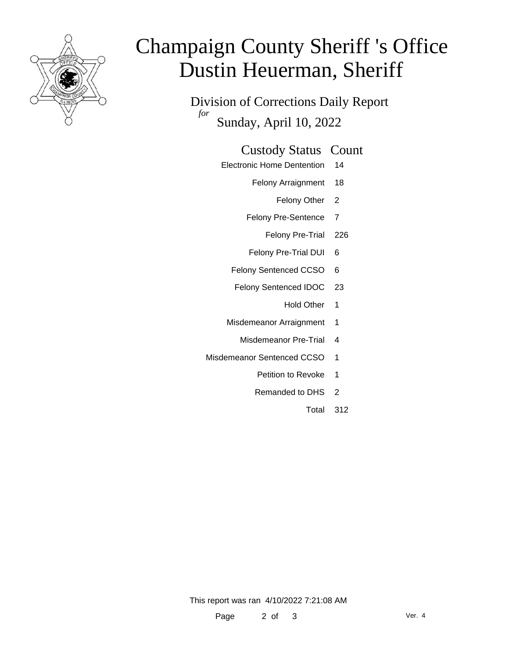

# Champaign County Sheriff 's Office Dustin Heuerman, Sheriff

Division of Corrections Daily Report *for* Sunday, April 10, 2022

#### Custody Status Count

- Electronic Home Dentention 14
	- Felony Arraignment 18
		- Felony Other 2
	- Felony Pre-Sentence 7
		- Felony Pre-Trial 226
	- Felony Pre-Trial DUI 6
	- Felony Sentenced CCSO 6
	- Felony Sentenced IDOC 23
		- Hold Other 1
	- Misdemeanor Arraignment 1
		- Misdemeanor Pre-Trial 4
- Misdemeanor Sentenced CCSO 1
	- Petition to Revoke 1
	- Remanded to DHS 2
		- Total 312

This report was ran 4/10/2022 7:21:08 AM